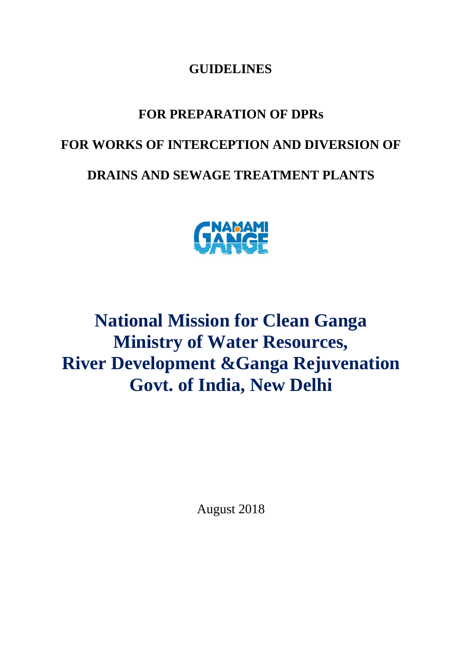#### **GUIDELINES**

## **FOR PREPARATION OF DPRs**

#### **FOR WORKS OF INTERCEPTION AND DIVERSION OF**

### **DRAINS AND SEWAGE TREATMENT PLANTS**



# **National Mission for Clean Ganga Ministry of Water Resources, River Development &Ganga Rejuvenation Govt. of India, New Delhi**

August 2018